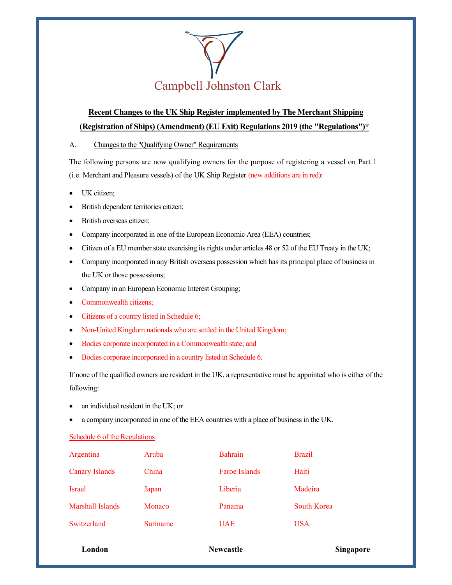

## **Recent Changes to the UK Ship Register implemented by The Merchant Shipping (Registration of Ships) (Amendment) (EU Exit) Regulations 2019 (the "Regulations")\***

A. Changes to the "Qualifying Owner" Requirements

The following persons are now qualifying owners for the purpose of registering a vessel on Part 1 (i.e. Merchant and Pleasure vessels) of the UK Ship Register (new additions are in red):

- UK citizen:
- British dependent territories citizen;
- British overseas citizen;
- Company incorporated in one of the European Economic Area (EEA) countries;
- Citizen of a EU member state exercising its rights under articles 48 or 52 of the EU Treaty in the UK;
- Company incorporated in any British overseas possession which has its principal place of business in the UK or those possessions;
- Company in an European Economic Interest Grouping;
- Commonwealth citizens;
- Citizens of a country listed in Schedule 6;
- Non-United Kingdom nationals who are settled in the United Kingdom;
- Bodies corporate incorporated in a Commonwealth state; and
- Bodies corporate incorporated in a country listed in Schedule 6.

If none of the qualified owners are resident in the UK, a representative must be appointed who is either of the following:

- an individual resident in the UK; or
- a company incorporated in one of the EEA countries with a place of business in the UK.

## Schedule 6 of the Regulations

| London                |          | <b>Newcastle</b> | Singapore     |
|-----------------------|----------|------------------|---------------|
| Switzerland           | Suriname | <b>UAE</b>       | <b>USA</b>    |
| Marshall Islands      | Monaco   | Panama           | South Korea   |
| <b>Israel</b>         | Japan    | Liberia          | Madeira       |
| <b>Canary Islands</b> | China    | Faroe Islands    | Haiti         |
| Argentina             | Aruba    | <b>Bahrain</b>   | <b>Brazil</b> |